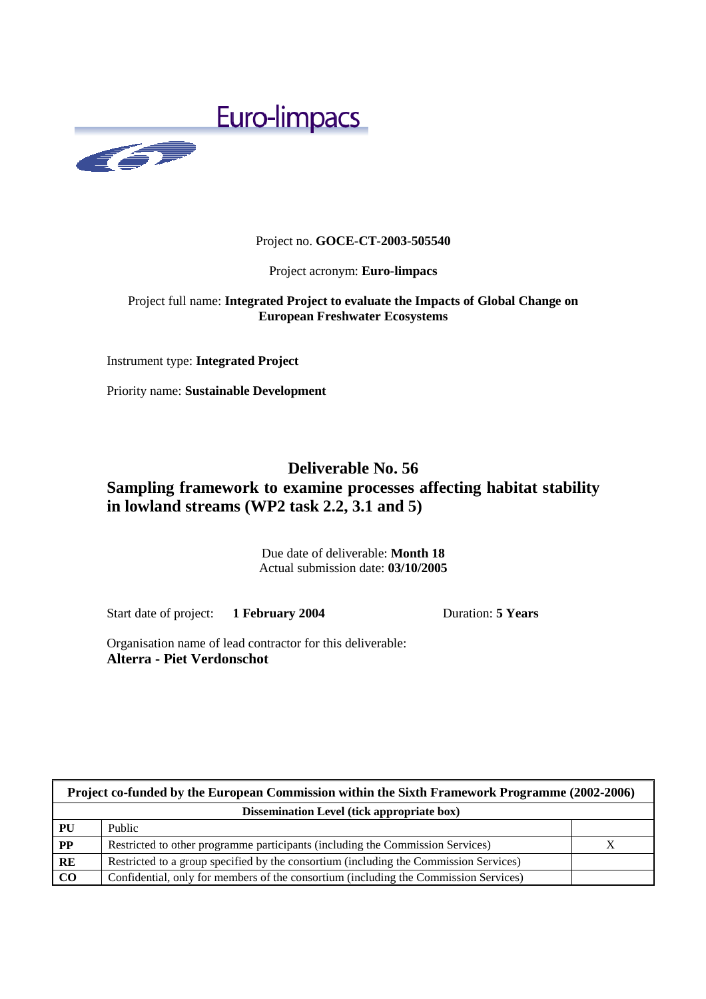

# Project no. **GOCE-CT-2003-505540**

#### Project acronym: **Euro-limpacs**

# Project full name: **Integrated Project to evaluate the Impacts of Global Change on European Freshwater Ecosystems**

Instrument type: **Integrated Project**

Priority name: **Sustainable Development**

# **Deliverable No. 56 Sampling framework to examine processes affecting habitat stability in lowland streams (WP2 task 2.2, 3.1 and 5)**

Due date of deliverable: **Month 18**  Actual submission date: **03/10/2005**

Start date of project: **1 February 2004** Duration: **5 Years** 

Organisation name of lead contractor for this deliverable: **Alterra - Piet Verdonschot** 

| Project co-funded by the European Commission within the Sixth Framework Programme (2002-2006) |                                                                                       |  |
|-----------------------------------------------------------------------------------------------|---------------------------------------------------------------------------------------|--|
| Dissemination Level (tick appropriate box)                                                    |                                                                                       |  |
| PU                                                                                            | Public                                                                                |  |
| $\mathbf{PP}$                                                                                 | Restricted to other programme participants (including the Commission Services)        |  |
| RE                                                                                            | Restricted to a group specified by the consortium (including the Commission Services) |  |
| $\bf CO$                                                                                      | Confidential, only for members of the consortium (including the Commission Services)  |  |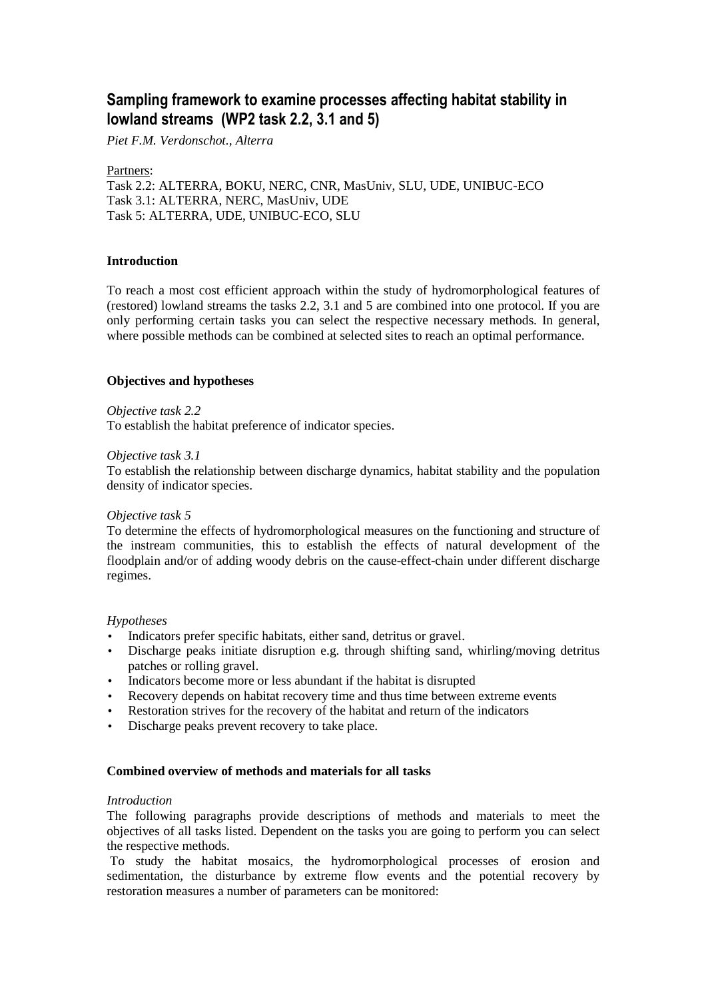# **Sampling framework to examine processes affecting habitat stability in lowland streams (WP2 task 2.2, 3.1 and 5)**

*Piet F.M. Verdonschot., Alterra* 

# Partners:

Task 2.2: ALTERRA, BOKU, NERC, CNR, MasUniv, SLU, UDE, UNIBUC-ECO Task 3.1: ALTERRA, NERC, MasUniv, UDE Task 5: ALTERRA, UDE, UNIBUC-ECO, SLU

# **Introduction**

To reach a most cost efficient approach within the study of hydromorphological features of (restored) lowland streams the tasks 2.2, 3.1 and 5 are combined into one protocol. If you are only performing certain tasks you can select the respective necessary methods. In general, where possible methods can be combined at selected sites to reach an optimal performance.

# **Objectives and hypotheses**

#### *Objective task 2.2*

To establish the habitat preference of indicator species.

#### *Objective task 3.1*

To establish the relationship between discharge dynamics, habitat stability and the population density of indicator species.

#### *Objective task 5*

To determine the effects of hydromorphological measures on the functioning and structure of the instream communities, this to establish the effects of natural development of the floodplain and/or of adding woody debris on the cause-effect-chain under different discharge regimes.

#### *Hypotheses*

- Indicators prefer specific habitats, either sand, detritus or gravel.
- Discharge peaks initiate disruption e.g. through shifting sand, whirling/moving detritus patches or rolling gravel.
- Indicators become more or less abundant if the habitat is disrupted
- Recovery depends on habitat recovery time and thus time between extreme events
- Restoration strives for the recovery of the habitat and return of the indicators
- Discharge peaks prevent recovery to take place.

#### **Combined overview of methods and materials for all tasks**

#### *Introduction*

The following paragraphs provide descriptions of methods and materials to meet the objectives of all tasks listed. Dependent on the tasks you are going to perform you can select the respective methods.

 To study the habitat mosaics, the hydromorphological processes of erosion and sedimentation, the disturbance by extreme flow events and the potential recovery by restoration measures a number of parameters can be monitored: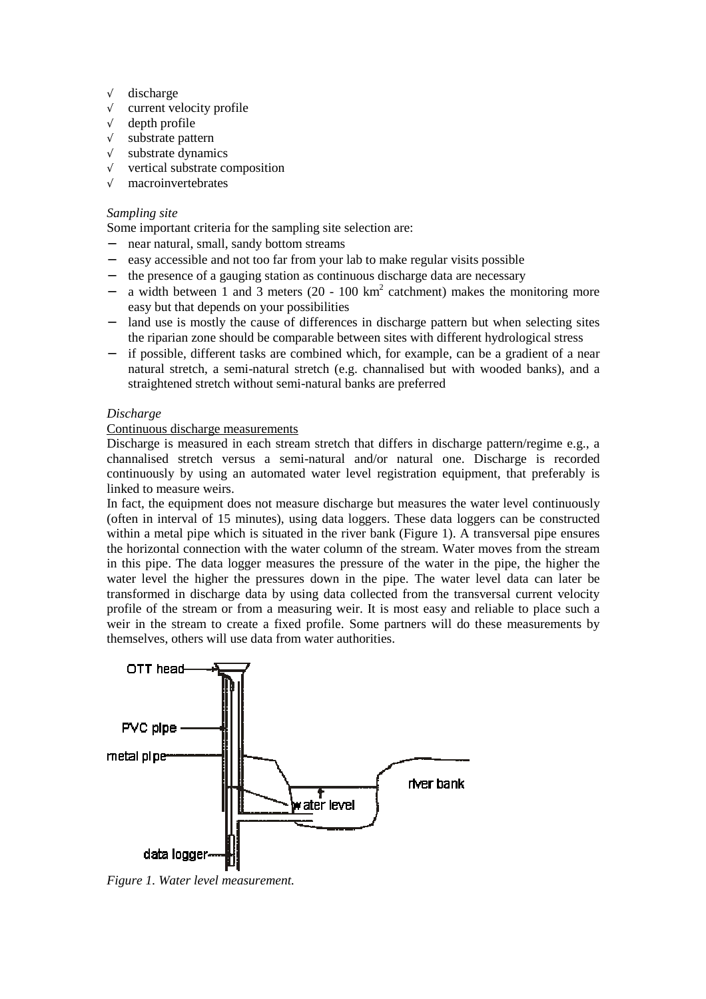- √ discharge
- √ current velocity profile
- √ depth profile
- √ substrate pattern
- √ substrate dynamics
- √ vertical substrate composition
- √ macroinvertebrates

# *Sampling site*

Some important criteria for the sampling site selection are:

- − near natural, small, sandy bottom streams
- easy accessible and not too far from your lab to make regular visits possible
- − the presence of a gauging station as continuous discharge data are necessary
- − a width between 1 and 3 meters (20 100 km<sup>2</sup> catchment) makes the monitoring more easy but that depends on your possibilities
- − land use is mostly the cause of differences in discharge pattern but when selecting sites the riparian zone should be comparable between sites with different hydrological stress
- − if possible, different tasks are combined which, for example, can be a gradient of a near natural stretch, a semi-natural stretch (e.g. channalised but with wooded banks), and a straightened stretch without semi-natural banks are preferred

# *Discharge*

#### Continuous discharge measurements

Discharge is measured in each stream stretch that differs in discharge pattern/regime e.g., a channalised stretch versus a semi-natural and/or natural one. Discharge is recorded continuously by using an automated water level registration equipment, that preferably is linked to measure weirs.

In fact, the equipment does not measure discharge but measures the water level continuously (often in interval of 15 minutes), using data loggers. These data loggers can be constructed within a metal pipe which is situated in the river bank (Figure 1). A transversal pipe ensures the horizontal connection with the water column of the stream. Water moves from the stream in this pipe. The data logger measures the pressure of the water in the pipe, the higher the water level the higher the pressures down in the pipe. The water level data can later be transformed in discharge data by using data collected from the transversal current velocity profile of the stream or from a measuring weir. It is most easy and reliable to place such a weir in the stream to create a fixed profile. Some partners will do these measurements by themselves, others will use data from water authorities.



*Figure 1. Water level measurement.*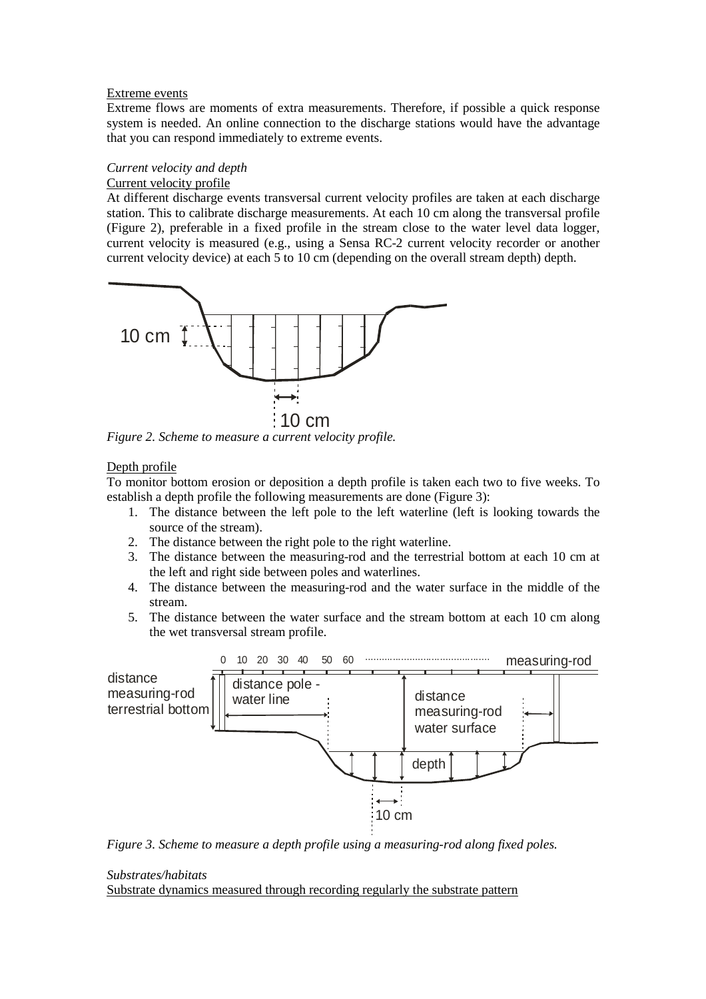#### Extreme events

Extreme flows are moments of extra measurements. Therefore, if possible a quick response system is needed. An online connection to the discharge stations would have the advantage that you can respond immediately to extreme events.

# *Current velocity and depth*

Current velocity profile

At different discharge events transversal current velocity profiles are taken at each discharge station. This to calibrate discharge measurements. At each 10 cm along the transversal profile (Figure 2), preferable in a fixed profile in the stream close to the water level data logger, current velocity is measured (e.g., using a Sensa RC-2 current velocity recorder or another current velocity device) at each 5 to 10 cm (depending on the overall stream depth) depth.



*Figure 2. Scheme to measure a current velocity profile.* 

#### Depth profile

To monitor bottom erosion or deposition a depth profile is taken each two to five weeks. To establish a depth profile the following measurements are done (Figure 3):

- 1. The distance between the left pole to the left waterline (left is looking towards the source of the stream).
- 2. The distance between the right pole to the right waterline.
- 3. The distance between the measuring-rod and the terrestrial bottom at each 10 cm at the left and right side between poles and waterlines.
- 4. The distance between the measuring-rod and the water surface in the middle of the stream.
- 5. The distance between the water surface and the stream bottom at each 10 cm along the wet transversal stream profile.



*Figure 3. Scheme to measure a depth profile using a measuring-rod along fixed poles.* 

# *Substrates/habitats*

Substrate dynamics measured through recording regularly the substrate pattern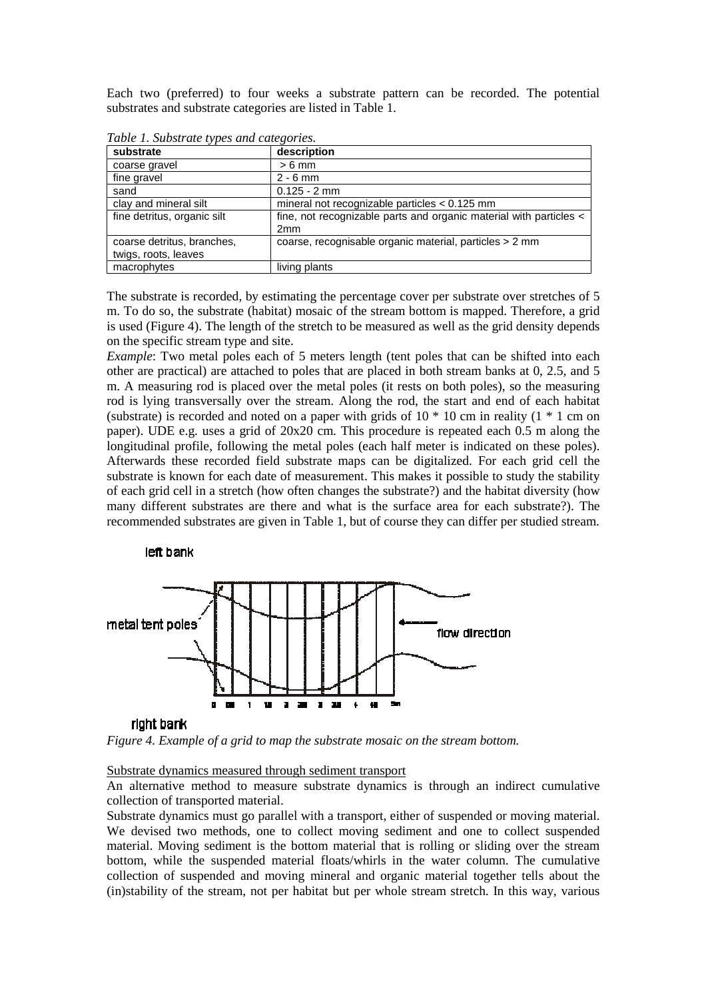Each two (preferred) to four weeks a substrate pattern can be recorded. The potential substrates and substrate categories are listed in Table 1.

| Tuble 1. Substitute types und cutegories. |                                                                                       |  |  |
|-------------------------------------------|---------------------------------------------------------------------------------------|--|--|
| substrate                                 | description                                                                           |  |  |
| coarse gravel                             | $> 6$ mm                                                                              |  |  |
| fine gravel                               | $2 - 6$ mm                                                                            |  |  |
| sand                                      | $0.125 - 2$ mm                                                                        |  |  |
| clay and mineral silt                     | mineral not recognizable particles $< 0.125$ mm                                       |  |  |
| fine detritus, organic silt               | fine, not recognizable parts and organic material with particles <<br>2 <sub>mm</sub> |  |  |
| coarse detritus, branches,                | coarse, recognisable organic material, particles > 2 mm                               |  |  |
| twigs, roots, leaves                      |                                                                                       |  |  |
| macrophytes                               | living plants                                                                         |  |  |

*Table 1. Substrate types and categories.* 

The substrate is recorded, by estimating the percentage cover per substrate over stretches of 5 m. To do so, the substrate (habitat) mosaic of the stream bottom is mapped. Therefore, a grid is used (Figure 4). The length of the stretch to be measured as well as the grid density depends on the specific stream type and site.

*Example*: Two metal poles each of 5 meters length (tent poles that can be shifted into each other are practical) are attached to poles that are placed in both stream banks at 0, 2.5, and 5 m. A measuring rod is placed over the metal poles (it rests on both poles), so the measuring rod is lying transversally over the stream. Along the rod, the start and end of each habitat (substrate) is recorded and noted on a paper with grids of  $10 * 10$  cm in reality ( $1 * 1$  cm on paper). UDE e.g. uses a grid of 20x20 cm. This procedure is repeated each 0.5 m along the longitudinal profile, following the metal poles (each half meter is indicated on these poles). Afterwards these recorded field substrate maps can be digitalized. For each grid cell the substrate is known for each date of measurement. This makes it possible to study the stability of each grid cell in a stretch (how often changes the substrate?) and the habitat diversity (how many different substrates are there and what is the surface area for each substrate?). The recommended substrates are given in Table 1, but of course they can differ per studied stream.

#### left bank



#### right bank

*Figure 4. Example of a grid to map the substrate mosaic on the stream bottom.* 

#### Substrate dynamics measured through sediment transport

An alternative method to measure substrate dynamics is through an indirect cumulative collection of transported material.

Substrate dynamics must go parallel with a transport, either of suspended or moving material. We devised two methods, one to collect moving sediment and one to collect suspended material. Moving sediment is the bottom material that is rolling or sliding over the stream bottom, while the suspended material floats/whirls in the water column. The cumulative collection of suspended and moving mineral and organic material together tells about the (in)stability of the stream, not per habitat but per whole stream stretch. In this way, various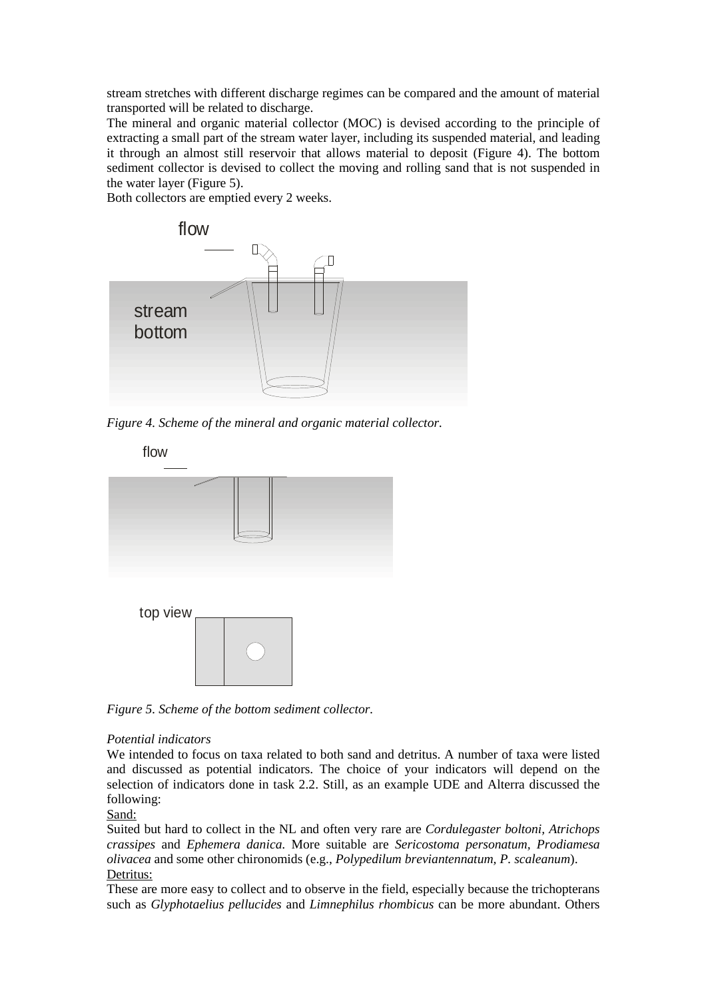stream stretches with different discharge regimes can be compared and the amount of material transported will be related to discharge.

The mineral and organic material collector (MOC) is devised according to the principle of extracting a small part of the stream water layer, including its suspended material, and leading it through an almost still reservoir that allows material to deposit (Figure 4). The bottom sediment collector is devised to collect the moving and rolling sand that is not suspended in the water layer (Figure 5).

Both collectors are emptied every 2 weeks.



*Figure 4. Scheme of the mineral and organic material collector.* 



*Figure 5. Scheme of the bottom sediment collector.* 

#### *Potential indicators*

We intended to focus on taxa related to both sand and detritus. A number of taxa were listed and discussed as potential indicators. The choice of your indicators will depend on the selection of indicators done in task 2.2. Still, as an example UDE and Alterra discussed the following:

Sand:

Suited but hard to collect in the NL and often very rare are *Cordulegaster boltoni, Atrichops crassipes* and *Ephemera danica*. More suitable are *Sericostoma personatum, Prodiamesa olivacea* and some other chironomids (e.g., *Polypedilum breviantennatum, P. scaleanum*). Detritus:

These are more easy to collect and to observe in the field, especially because the trichopterans such as *Glyphotaelius pellucides* and *Limnephilus rhombicus* can be more abundant. Others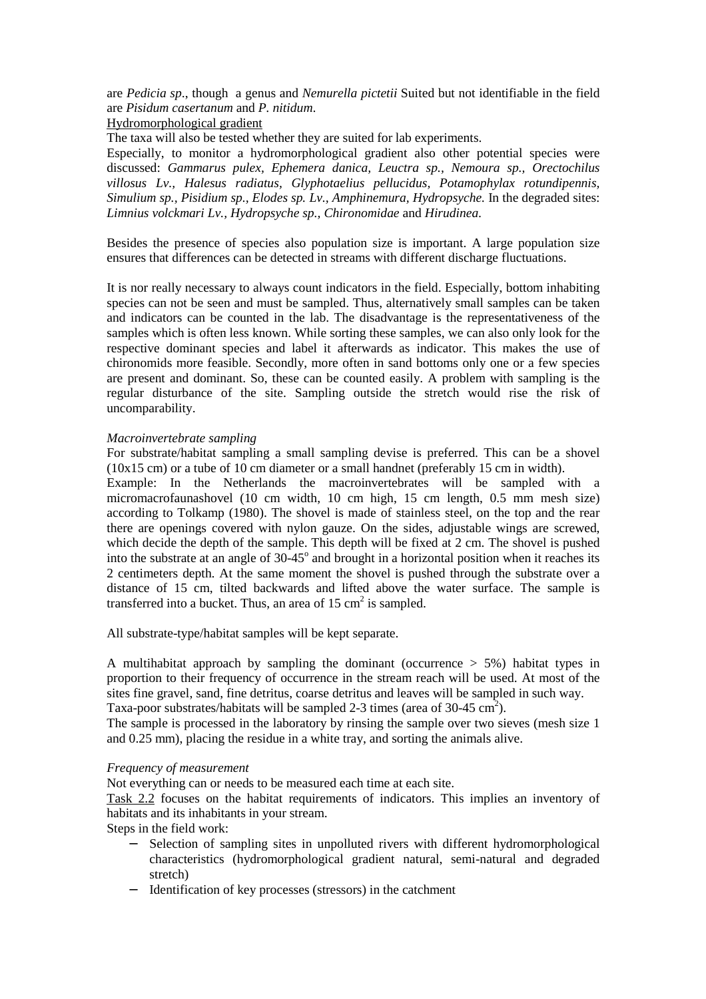are *Pedicia sp*., though a genus and *Nemurella pictetii* Suited but not identifiable in the field are *Pisidum casertanum* and *P. nitidum*.

Hydromorphological gradient

The taxa will also be tested whether they are suited for lab experiments.

Especially, to monitor a hydromorphological gradient also other potential species were discussed: *Gammarus pulex, Ephemera danica, Leuctra sp., Nemoura sp., Orectochilus villosus Lv., Halesus radiatus, Glyphotaelius pellucidus, Potamophylax rotundipennis, Simulium sp., Pisidium sp., Elodes sp. Lv., Amphinemura, Hydropsyche.* In the degraded sites: *Limnius volckmari Lv., Hydropsyche sp., Chironomidae* and *Hirudinea.* 

Besides the presence of species also population size is important. A large population size ensures that differences can be detected in streams with different discharge fluctuations.

It is nor really necessary to always count indicators in the field. Especially, bottom inhabiting species can not be seen and must be sampled. Thus, alternatively small samples can be taken and indicators can be counted in the lab. The disadvantage is the representativeness of the samples which is often less known. While sorting these samples, we can also only look for the respective dominant species and label it afterwards as indicator. This makes the use of chironomids more feasible. Secondly, more often in sand bottoms only one or a few species are present and dominant. So, these can be counted easily. A problem with sampling is the regular disturbance of the site. Sampling outside the stretch would rise the risk of uncomparability.

#### *Macroinvertebrate sampling*

For substrate/habitat sampling a small sampling devise is preferred. This can be a shovel (10x15 cm) or a tube of 10 cm diameter or a small handnet (preferably 15 cm in width).

Example: In the Netherlands the macroinvertebrates will be sampled with a micromacrofaunashovel (10 cm width, 10 cm high, 15 cm length, 0.5 mm mesh size) according to Tolkamp (1980). The shovel is made of stainless steel, on the top and the rear there are openings covered with nylon gauze. On the sides, adjustable wings are screwed, which decide the depth of the sample. This depth will be fixed at 2 cm. The shovel is pushed into the substrate at an angle of  $30-45^\circ$  and brought in a horizontal position when it reaches its 2 centimeters depth. At the same moment the shovel is pushed through the substrate over a distance of 15 cm, tilted backwards and lifted above the water surface. The sample is transferred into a bucket. Thus, an area of  $15 \text{ cm}^2$  is sampled.

All substrate-type/habitat samples will be kept separate.

A multihabitat approach by sampling the dominant (occurrence  $> 5\%$ ) habitat types in proportion to their frequency of occurrence in the stream reach will be used. At most of the sites fine gravel, sand, fine detritus, coarse detritus and leaves will be sampled in such way.

Taxa-poor substrates/habitats will be sampled 2-3 times (area of 30-45  $\text{cm}^2$ ).

The sample is processed in the laboratory by rinsing the sample over two sieves (mesh size 1 and 0.25 mm), placing the residue in a white tray, and sorting the animals alive.

#### *Frequency of measurement*

Not everything can or needs to be measured each time at each site.

Task 2.2 focuses on the habitat requirements of indicators. This implies an inventory of habitats and its inhabitants in your stream.

Steps in the field work:

- Selection of sampling sites in unpolluted rivers with different hydromorphological characteristics (hydromorphological gradient natural, semi-natural and degraded stretch)
- − Identification of key processes (stressors) in the catchment